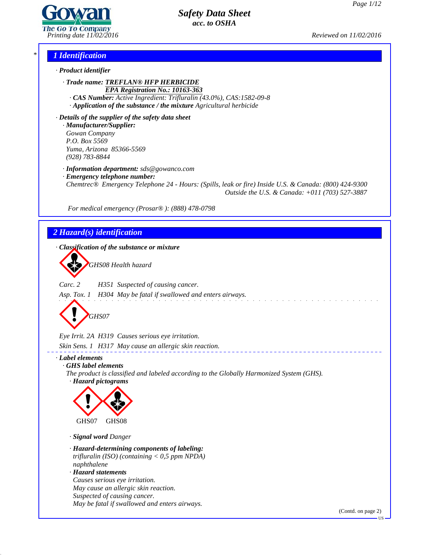

*Printing date 11/02/2016 Reviewed on 11/02/2016*

### *\* 1 Identification*

*· Product identifier*

*· Trade name: TREFLAN® HFP HERBICIDE EPA Registration No.: 10163-363*

*· CAS Number: Active Ingredient: Trifluralin (43.0%), CAS:1582-09-8 · Application of the substance / the mixture Agricultural herbicide*

*· Details of the supplier of the safety data sheet · Manufacturer/Supplier: Gowan Company P.O. Box 5569 Yuma, Arizona 85366-5569 (928) 783-8844*

*· Information department: sds@gowanco.com*

*· Emergency telephone number:*

*Chemtrec® Emergency Telephone 24 - Hours: (Spills, leak or fire) Inside U.S. & Canada: (800) 424-9300 Outside the U.S. & Canada: +011 (703) 527-3887*

*For medical emergency (Prosar® ): (888) 478-0798*

### *2 Hazard(s) identification*

*· Classification of the substance or mixture*



*Carc. 2 H351 Suspected of causing cancer.*

*Asp. Tox. 1 H304 May be fatal if swallowed and enters airways.*



*Eye Irrit. 2A H319 Causes serious eye irritation.*

*Skin Sens. 1 H317 May cause an allergic skin reaction.*

### *· Label elements*

43.0

*· GHS label elements*

*The product is classified and labeled according to the Globally Harmonized System (GHS). · Hazard pictograms*



*· Signal word Danger*

- *· Hazard-determining components of labeling: trifluralin (ISO) (containing < 0,5 ppm NPDA) naphthalene*
- *· Hazard statements Causes serious eye irritation. May cause an allergic skin reaction. Suspected of causing cancer. May be fatal if swallowed and enters airways.*

(Contd. on page 2)

US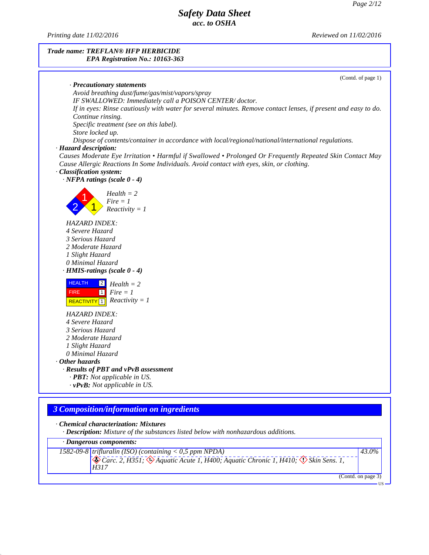*Printing date 11/02/2016 Reviewed on 11/02/2016*

#### *Trade name: TREFLAN® HFP HERBICIDE EPA Registration No.: 10163-363*

(Contd. of page 1) *· Precautionary statements Avoid breathing dust/fume/gas/mist/vapors/spray IF SWALLOWED: Immediately call a POISON CENTER/ doctor.* If in eyes: Rinse cautiously with water for several minutes. Remove contact lenses, if present and easy to do. *Continue rinsing. Specific treatment (see on this label). Store locked up. Dispose of contents/container in accordance with local/regional/national/international regulations. · Hazard description: Causes Moderate Eye Irritation • Harmful if Swallowed • Prolonged Or Frequently Repeated Skin Contact May Cause Allergic Reactions In Some Individuals. Avoid contact with eyes, skin, or clothing. · Classification system: · NFPA ratings (scale 0 - 4)* 2 1 *Reactivity = 1*  $\text{Fire} = 1$ *Health = 2 HAZARD INDEX: 4 Severe Hazard 3 Serious Hazard 2 Moderate Hazard 1 Slight Hazard 0 Minimal Hazard · HMIS-ratings (scale 0 - 4)* HEALTH<sub>2</sub> FIRE 1 **REACTIVITY 1** *Reactivity* = 1 2 *Health = 2* 1 *Fire = 1 HAZARD INDEX: 4 Severe Hazard 3 Serious Hazard 2 Moderate Hazard 1 Slight Hazard 0 Minimal Hazard · Other hazards · Results of PBT and vPvB assessment · PBT: Not applicable in US. · vPvB: Not applicable in US. 3 Composition/information on ingredients*

*· Chemical characterization: Mixtures*

43.0

*· Description: Mixture of the substances listed below with nonhazardous additions.*

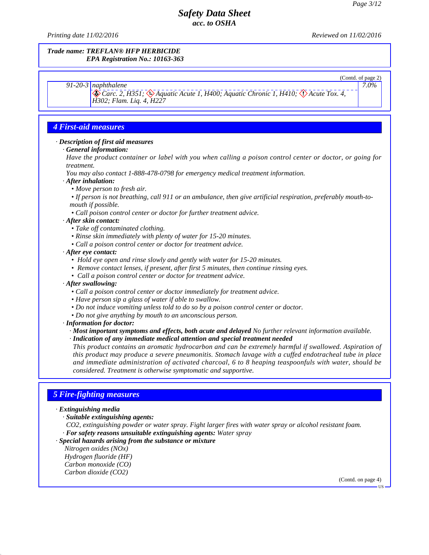(Contd. of page 2)

*7.0%*

## *Safety Data Sheet acc. to OSHA*

*Printing date 11/02/2016 Reviewed on 11/02/2016*

#### *Trade name: TREFLAN® HFP HERBICIDE EPA Registration No.: 10163-363*

*91-20-3 naphthalene*

Carc. 2, H351; & Aquatic Acute 1, H400; Aquatic Chronic 1, H410;  $\Diamond$  Acute Tox. 4, H302; Flam. Lig. 4, H227

### *4 First-aid measures*

#### *· Description of first aid measures*

#### *· General information:*

Have the product container or label with you when calling a poison control center or doctor, or going for *treatment.*

*You may also contact 1-888-478-0798 for emergency medical treatment information.*

*· After inhalation:*

*• Move person to fresh air.*

• If person is not breathing, call 911 or an ambulance, then give artificial respiration, preferably mouth-to*mouth if possible.*

*• Call poison control center or doctor for further treatment advice.*

### *· After skin contact:*

- *• Take of contaminated clothing.*
- *• Rinse skin immediately with plenty of water for 15-20 minutes.*
- *• Call a poison control center or doctor for treatment advice.*

#### *· After eye contact:*

- *• Hold eye open and rinse slowly and gently with water for 15-20 minutes.*
- *• Remove contact lenses, if present, after first 5 minutes, then continue rinsing eyes.*
- *• Call a poison control center or doctor for treatment advice.*
- *· After swallowing:*
	- *• Call a poison control center or doctor immediately for treatment advice.*
	- *• Have person sip a glass of water ifable to swallow.*
	- *• Do not induce vomiting unless told to do so by a poison control center or doctor.*
	- *• Do not give anything by mouth to an unconscious person.*

*· Information for doctor:*

*· Most important symptoms and effects, both acute and delayed No further relevant information available.*

*· Indication of any immediate medical attention and special treatment needed*

*This product contains an aromatic hydrocarbon and can be extremely harmful if swallowed. Aspiration of this product may produce a severe pneumonitis. Stomach lavage with a cuffed endotracheal tube in place and immediate administration of activated charcoal, 6 to 8 heaping teaspoonfuls with water, should be considered. Treatment is otherwise symptomatic and supportive.*

### *5 Fire-fighting measures*

*· Extinguishing media*

43.0

*· Suitable extinguishing agents:*

*CO2, extinguishing powder or water spray. Fight larger fires with water spray or alcohol resistant foam. · For safety reasons unsuitable extinguishing agents: Water spray*

*· Special hazards arising from the substance or mixture*

*Nitrogen oxides (NOx) Hydrogen fluoride (HF) Carbon monoxide (CO) Carbon dioxide (CO2)*

(Contd. on page 4)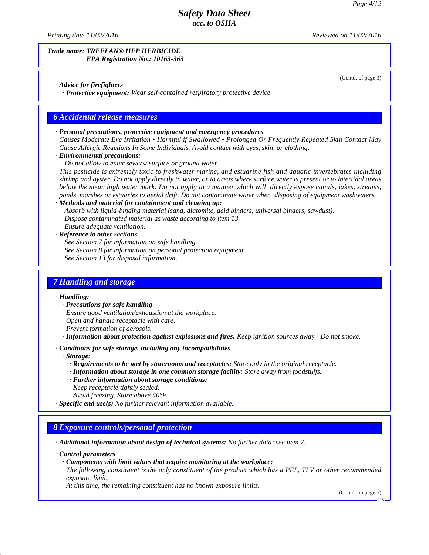*Printing date 11/02/2016 Reviewed on 11/02/2016*

#### *Trade name: TREFLAN® HFP HERBICIDE EPA Registration No.: 10163-363*

(Contd. of page 3)

### *· Advice for firefighters*

*· Protective equipment: Wear self-contained respiratory protective device.*

### *6 Accidental release measures*

#### *· Personal precautions, protective equipment and emergency procedures*

*Causes Moderate Eye Irritation • Harmful if Swallowed • Prolonged Or Frequently Repeated Skin Contact May Cause Allergic Reactions In Some Individuals. Avoid contact with eyes, skin, or clothing.*

#### *· Environmental precautions:*

*Do not allow to enter sewers/ surface or ground water.*

*This pesticide is extremely toxic to freshwater marine, and estuarine fish and aquatic invertebrates including* shrimp and oyster. Do not apply directly to water, or to areas where surface water is present or to intertidal areas below the mean high water mark. Do not apply in a manner which will directly expose canals, lakes, streams, *ponds, marshes or estuaries to aerial drift. Do not contaminate water when disposing of equipment washwaters.*

*· Methods and material for containment and cleaning up:*

*Absorb with liquid-binding material (sand, diatomite, acid binders, universal binders, sawdust). Dispose contaminated material as waste according to item 13.*

*Ensure adequate ventilation.*

*· Reference to other sections*

*See Section 7 for information on safe handling.*

*See Section 8 for information on personal protection equipment.*

*See Section 13 for disposal information.*

### *7 Handling and storage*

### *· Handling:*

*· Precautions for safe handling*

*Ensure good ventilation/exhaustion at the workplace.*

*Open and handle receptacle with care.*

*Prevent formation of aerosols.*

*· Information about protection against explosions and fires: Keep ignition sources away - Do not smoke.*

### *· Conditions for safe storage, including any incompatibilities*

*· Storage:*

- *· Requirements to be met by storerooms and receptacles: Store only in the original receptacle.*
- *· Information about storage in one common storage facility: Store away from foodstuf s.*
- *· Further information about storage conditions:*
- *Keep receptacle tightly sealed.*
- *Avoid freezing. Store above 40°F*

*· Specific end use(s) No further relevant information available.*

### *8 Exposure controls/personal protection*

*· Additional information about design of technical systems: No further data; see item 7.*

*· Control parameters*

43.0

#### *· Components with limit values that require monitoring at the workplace:*

The following constituent is the only constituent of the product which has a PEL, TLV or other recommended *exposure limit.*

*At this time, the remaining constituent has no known exposure limits.*

(Contd. on page 5)

US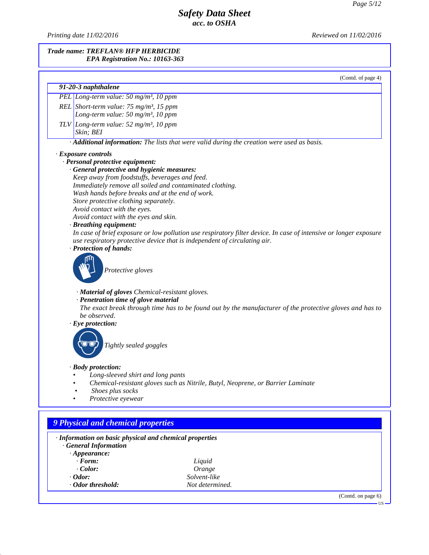*Printing date 11/02/2016 Reviewed on 11/02/2016*

43.0

#### *Trade name: TREFLAN® HFP HERBICIDE EPA Registration No.: 10163-363*

(Contd. of page 4) *91-20-3 naphthalene PEL Long-term value:50 mg/m³, 10 ppm REL Short-term value:75 mg/m³, 15 ppm Long-term value:50 mg/m³, 10 ppm TLV Long-term value:52 mg/m³, 10 ppm Skin; BEI · Additional information: The lists that were valid during the creation were used as basis. · Exposure controls · Personal protective equipment: · General protective and hygienic measures: Keep away from foodstuf s, beverages and feed. Immediately remove all soiled and contaminated clothing. Wash hands before breaks and at the end of work. Store protective clothing separately. Avoid contact with the eyes. Avoid contact with the eyes and skin. · Breathing equipment:* In case of brief exposure or low pollution use respiratory filter device. In case of intensive or longer exposure *use respiratory protective device that is independent of circulating air. · Protection of hands: Protective gloves · Material of gloves Chemical-resistant gloves. · Penetration time of glove material* The exact break through time has to be found out by the manufacturer of the protective gloves and has to *be observed. · Eye protection: Tightly sealed goggles · Body protection: • Long-sleeved shirt and long pants • Chemical-resistant gloves such as Nitrile, Butyl, Neoprene, or Barrier Laminate • Shoes plus socks • Protective eyewear 9 Physical and chemical properties · Information on basic physical and chemical properties · General Information · Appearance: · Form: Liquid · Color: Orange*

*· Odor: Solvent-like · Odor threshold: Not determined.*

(Contd. on page 6)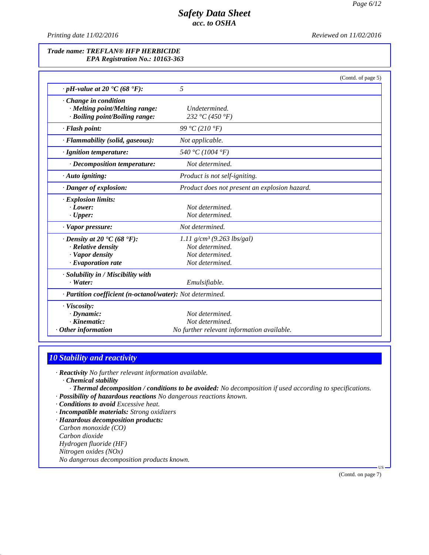*Printing date 11/02/2016 Reviewed on 11/02/2016*

### *Trade name: TREFLAN® HFP HERBICIDE EPA Registration No.: 10163-363*

|                                                            | (Contd. of page 5)                            |  |
|------------------------------------------------------------|-----------------------------------------------|--|
| $\cdot$ pH-value at 20 $\cdot$ C (68 $\cdot$ F):           | 5                                             |  |
| Change in condition                                        |                                               |  |
| · Melting point/Melting range:                             | Undetermined.                                 |  |
| · Boiling point/Boiling range:                             | 232 °C (450 °F)                               |  |
| $\cdot$ Flash point:                                       | 99 °C (210 °F)                                |  |
| · Flammability (solid, gaseous):                           | Not applicable.                               |  |
| · Ignition temperature:                                    | 540 °C (1004 °F)                              |  |
| $\cdot$ Decomposition temperature:                         | Not determined.                               |  |
| $\cdot$ Auto igniting:                                     | Product is not self-igniting.                 |  |
| · Danger of explosion:                                     | Product does not present an explosion hazard. |  |
| · Explosion limits:                                        |                                               |  |
| $\cdot$ Lower:                                             | Not determined.                               |  |
| $\cdot$ Upper:                                             | Not determined.                               |  |
| · Vapor pressure:                                          | Not determined.                               |  |
| $\cdot$ Density at 20 $\cdot$ C (68 $\cdot$ F):            | 1.11 $g/cm^3$ (9.263 lbs/gal)                 |  |
| · Relative density                                         | Not determined.                               |  |
| · Vapor density                                            | Not determined.                               |  |
| $\cdot$ Evaporation rate                                   | Not determined.                               |  |
| · Solubility in / Miscibility with                         |                                               |  |
| $\cdot$ Water:                                             | Emulsifiable.                                 |  |
| · Partition coefficient (n-octanol/water): Not determined. |                                               |  |
| · Viscosity:                                               |                                               |  |
| $\cdot$ Dynamic:                                           | Not determined.                               |  |
| $\cdot$ Kinematic:                                         | Not determined.                               |  |
| Other information                                          | No further relevant information available.    |  |

## *10 Stability and reactivity*

*· Reactivity No further relevant information available.*

*· Chemical stability*

43.0

- *· Thermal decomposition / conditions to be avoided: No decomposition if used according to specifications.*
- *· Possibility of hazardous reactions No dangerous reactions known.*
- *· Conditions to avoid Excessive heat.*

*· Incompatible materials: Strong oxidizers*

*· Hazardous decomposition products: Carbon monoxide (CO) Carbon dioxide Hydrogen fluoride (HF) Nitrogen oxides (NOx) No dangerous decomposition products known.*

(Contd. on page 7)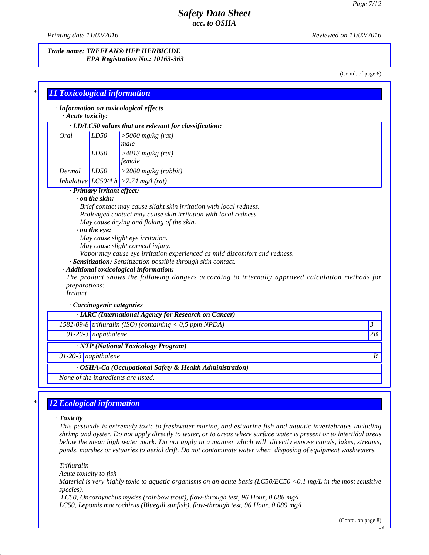*Printing date 11/02/2016 Reviewed on 11/02/2016*

#### *Trade name: TREFLAN® HFP HERBICIDE EPA Registration No.: 10163-363*

(Contd. of page 6)

| $\cdot$ Acute toxicity: |                            |                                                                                                  |                |
|-------------------------|----------------------------|--------------------------------------------------------------------------------------------------|----------------|
|                         |                            | · LD/LC50 values that are relevant for classification:                                           |                |
| Oral                    | LD50                       | $>$ 5000 mg/kg (rat)<br>male                                                                     |                |
|                         | LD50                       | $>4013$ mg/kg (rat)<br>female                                                                    |                |
| Dermal                  | LD50                       | $>$ 2000 mg/kg (rabbit)                                                                          |                |
|                         |                            | Inhalative $LC50/4 h$ > 7.74 mg/l (rat)                                                          |                |
|                         | · Primary irritant effect: |                                                                                                  |                |
|                         | $\cdot$ on the skin:       |                                                                                                  |                |
|                         |                            | Brief contact may cause slight skin irritation with local redness.                               |                |
|                         |                            | Prolonged contact may cause skin irritation with local redness.                                  |                |
|                         |                            | May cause drying and flaking of the skin.                                                        |                |
|                         | $\cdot$ on the eye:        |                                                                                                  |                |
|                         |                            | May cause slight eye irritation.                                                                 |                |
|                         |                            | May cause slight corneal injury.                                                                 |                |
|                         |                            | Vapor may cause eye irritation experienced as mild discomfort and redness.                       |                |
|                         |                            | · Sensitization: Sensitization possible through skin contact.                                    |                |
|                         |                            | · Additional toxicological information:                                                          |                |
|                         |                            | The product shows the following dangers according to internally approved calculation methods for |                |
| preparations:           |                            |                                                                                                  |                |
| <b>Irritant</b>         |                            |                                                                                                  |                |
|                         | · Carcinogenic categories  |                                                                                                  |                |
|                         |                            | · IARC (International Agency for Research on Cancer)                                             |                |
|                         |                            | 1582-09-8 trifluralin (ISO) (containing $\lt 0$ ,5 ppm NPDA)                                     | $\mathfrak{Z}$ |
|                         | $91-20-3$ naphthalene      |                                                                                                  | 2B             |
|                         |                            | · NTP (National Toxicology Program)                                                              |                |
|                         |                            |                                                                                                  |                |

## *\* 12 Ecological information*

### *· Toxicity*

43.0

*This pesticide is extremely toxic to freshwater marine, and estuarine fish and aquatic invertebrates including* shrimp and oyster. Do not apply directly to water, or to areas where surface water is present or to intertidal areas below the mean high water mark. Do not apply in a manner which will directly expose canals, lakes, streams, *ponds, marshes or estuaries to aerial drift. Do not contaminate water when disposing of equipment washwaters.*

*Trifluralin Acute toxicity to fish* Material is very highly toxic to aquatic organisms on an acute basis (LC50/EC50 <0.1 mg/L in the most sensitive *species). LC50, Oncorhynchus mykiss (rainbow trout), flow-through test, 96 Hour, 0.088 mg/l LC50, Lepomis macrochirus (Bluegill sunfish), flow-through test, 96 Hour, 0.089 mg/l*

(Contd. on page 8)

US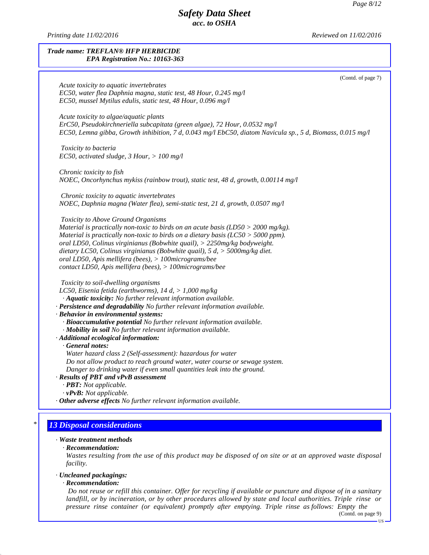*Printing date 11/02/2016 Reviewed on 11/02/2016*

### *Trade name: TREFLAN® HFP HERBICIDE EPA Registration No.: 10163-363*

|                                                                                                             | (Contd. of page 7) |
|-------------------------------------------------------------------------------------------------------------|--------------------|
| Acute toxicity to aquatic invertebrates<br>EC50, water flea Daphnia magna, static test, 48 Hour, 0.245 mg/l |                    |
| EC50, mussel Mytilus edulis, static test, 48 Hour, 0.096 mg/l                                               |                    |
|                                                                                                             |                    |
| Acute toxicity to algae/aquatic plants                                                                      |                    |
| ErC50, Pseudokirchneriella subcapitata (green algae), 72 Hour, 0.0532 mg/l                                  |                    |
| EC50, Lemna gibba, Growth inhibition, 7 d, 0.043 mg/l EbC50, diatom Navicula sp., 5 d, Biomass, 0.015 mg/l  |                    |
|                                                                                                             |                    |
| Toxicity to bacteria                                                                                        |                    |
| EC50, activated sludge, 3 Hour, $> 100$ mg/l                                                                |                    |
| Chronic toxicity to fish                                                                                    |                    |
| NOEC, Oncorhynchus mykiss (rainbow trout), static test, 48 d, growth, 0.00114 mg/l                          |                    |
|                                                                                                             |                    |
| Chronic toxicity to aquatic invertebrates                                                                   |                    |
| NOEC, Daphnia magna (Water flea), semi-static test, 21 d, growth, 0.0507 mg/l                               |                    |
|                                                                                                             |                    |
| Toxicity to Above Ground Organisms                                                                          |                    |
| Material is practically non-toxic to birds on an acute basis ( $LD50 > 2000$ mg/kg).                        |                    |
| Material is practically non-toxic to birds on a dietary basis ( $LC50 > 5000$ ppm).                         |                    |
| oral LD50, Colinus virginianus (Bobwhite quail), $>$ 2250mg/kg bodyweight.                                  |                    |
| dietary LC50, Colinus virginianus (Bobwhite quail), $5 d$ , $> 5000$ mg/kg diet.                            |                    |
| oral LD50, Apis mellifera (bees), > 100micrograms/bee                                                       |                    |
| contact LD50, Apis mellifera (bees), > 100micrograms/bee                                                    |                    |
| Toxicity to soil-dwelling organisms                                                                         |                    |
| LC50, Eisenia fetida (earthworms), 14 d, > 1,000 mg/kg                                                      |                    |
| · Aquatic toxicity: No further relevant information available.                                              |                    |
| - Persistence and degradability No further relevant information available.                                  |                    |
| · Behavior in environmental systems:                                                                        |                    |
| · Bioaccumulative potential No further relevant information available.                                      |                    |
| · Mobility in soil No further relevant information available.                                               |                    |
| · Additional ecological information:                                                                        |                    |
| $\cdot$ General notes:                                                                                      |                    |
| Water hazard class 2 (Self-assessment): hazardous for water                                                 |                    |
| Do not allow product to reach ground water, water course or sewage system.                                  |                    |
| Danger to drinking water if even small quantities leak into the ground.                                     |                    |
| · Results of PBT and vPvB assessment                                                                        |                    |
| · PBT: Not applicable.                                                                                      |                    |
| $\cdot$ vPvB: Not applicable.                                                                               |                    |
| · Other adverse effects No further relevant information available.                                          |                    |
|                                                                                                             |                    |

# *\* 13 Disposal considerations*

## *· Waste treatment methods*

#### *· Recommendation:*

Wastes resulting from the use of this product may be disposed of on site or at an approved waste disposal *facility.*

### *· Uncleaned packagings:*

### *· Recommendation:*

43.0

Do not reuse or refill this container. Offer for recycling if available or puncture and dispose of in a sanitary landfill, or by incineration, or by other procedures allowed by state and local authorities. Triple rinse or *pressure rinse container (or equivalent) promptly after emptying. Triple rinse as follows: Empty the* (Contd. on page 9)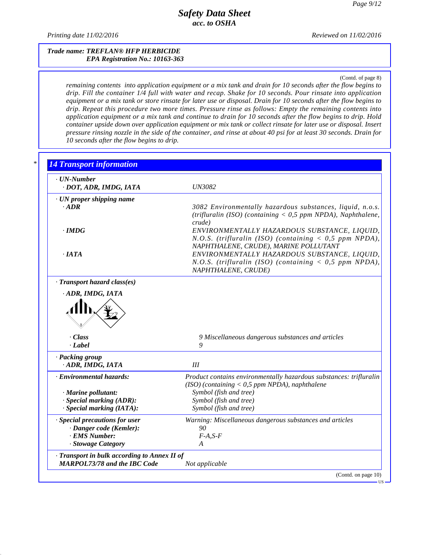*Printing date 11/02/2016 Reviewed on 11/02/2016*

43.0

#### *Trade name: TREFLAN® HFP HERBICIDE EPA Registration No.: 10163-363*

(Contd. of page 8)

remaining contents into application equipment or a mix tank and drain for 10 seconds after the flow begins to drip. Fill the container 1/4 full with water and recap. Shake for 10 seconds. Pour rinsate into application equipment or a mix tank or store rinsate for later use or disposal. Drain for 10 seconds after the flow begins to *drip. Repeat this procedure two more times. Pressure rinse as follows: Empty the remaining contents into* application equipment or a mix tank and continue to drain for 10 seconds after the flow begins to drip. Hold container upside down over application equipment or mix tank or collect rinsate for later use or disposal. Insert pressure rinsing nozzle in the side of the container, and rinse at about 40 psi for at least 30 seconds. Drain for *10 seconds after the flow begins to drip.*

| $\cdot$ UN-Number<br>· DOT, ADR, IMDG, IATA                        | <b>UN3082</b>                                                                                                                                               |
|--------------------------------------------------------------------|-------------------------------------------------------------------------------------------------------------------------------------------------------------|
| · UN proper shipping name<br>$\cdot$ ADR                           | 3082 Environmentally hazardous substances, liquid, n.o.s.<br>(trifluralin (ISO) (containing $<$ 0,5 ppm NPDA), Naphthalene,                                 |
| $\cdot$ IMDG                                                       | crude)<br>ENVIRONMENTALLY HAZARDOUS SUBSTANCE, LIQUID,<br>N.O.S. (trifluralin (ISO) (containing $<$ 0,5 ppm NPDA),<br>NAPHTHALENE, CRUDE), MARINE POLLUTANT |
| . IATA                                                             | ENVIRONMENTALLY HAZARDOUS SUBSTANCE, LIQUID,<br>N.O.S. (trifluralin (ISO) (containing $< 0.5$ ppm NPDA),<br>NAPHTHALENE, CRUDE)                             |
| · Transport hazard class(es)                                       |                                                                                                                                                             |
|                                                                    |                                                                                                                                                             |
| · Class<br>$-Label$                                                | 9 Miscellaneous dangerous substances and articles<br>9                                                                                                      |
| · Packing group<br>· ADR, IMDG, IATA                               | III                                                                                                                                                         |
| · Environmental hazards:                                           | Product contains environmentally hazardous substances: trifluralin                                                                                          |
| · Marine pollutant:                                                | (ISO) (containing $<$ 0,5 ppm NPDA), naphthalene<br>Symbol (fish and tree)                                                                                  |
| · Special marking (ADR):                                           | Symbol (fish and tree)                                                                                                                                      |
| $\cdot$ Special marking (IATA):                                    | Symbol (fish and tree)                                                                                                                                      |
| · Special precautions for user                                     | Warning: Miscellaneous dangerous substances and articles                                                                                                    |
| · Danger code (Kemler):                                            | 90                                                                                                                                                          |
| · EMS Number:                                                      | $F-A, S-F$                                                                                                                                                  |
| · Stowage Category<br>· Transport in bulk according to Annex II of | A                                                                                                                                                           |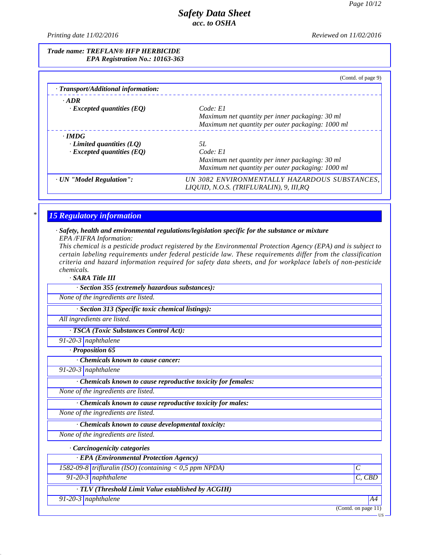*Printing date 11/02/2016 Reviewed on 11/02/2016*

### *Trade name: TREFLAN® HFP HERBICIDE EPA Registration No.: 10163-363*

| · Transport/Additional information: | (Contd. of page 9)                                |
|-------------------------------------|---------------------------------------------------|
| $\cdot$ ADR                         |                                                   |
| $\cdot$ Excepted quantities (EQ)    | Code: E1                                          |
|                                     | Maximum net quantity per inner packaging: 30 ml   |
|                                     | Maximum net quantity per outer packaging: 1000 ml |
| $\cdot$ IMDG                        |                                                   |
| Limited quantities $(LQ)$           | 5L                                                |
| $\cdot$ Excepted quantities (EQ)    | Code: El                                          |
|                                     | Maximum net quantity per inner packaging: 30 ml   |
|                                     | Maximum net quantity per outer packaging: 1000 ml |
| · UN "Model Regulation":            | UN 3082 ENVIRONMENTALLY HAZARDOUS SUBSTANCES.     |
|                                     | LIQUID, N.O.S. (TRIFLURALIN), 9, III, RQ          |

## *\* 15 Regulatory information*

#### *· Safety, health and environmental regulations/legislation specific for the substance or mixture EPA /FIFRA Information:*

This chemical is a pesticide product registered by the Environmental Protection Agency (EPA) and is subject to *certain labeling requirements under federal pesticide law. These requirements differ from the classification criteria and hazard information required for safety data sheets, and for workplace labels of non-pesticide chemicals.*

*· SARA Title III*

| .                                               |  |
|-------------------------------------------------|--|
| · Section 355 (extremely hazardous substances): |  |
|                                                 |  |

*None of the ingredients are listed.*

*· Section 313 (Specific toxic chemical listings):*

*All ingredients are listed.*

*· TSCA (Toxic Substances Control Act):*

*91-20-3 naphthalene*

*· Proposition 65*

*· Chemicals known to cause cancer:*

*91-20-3 naphthalene*

43.0

*· Chemicals known to cause reproductive toxicity for females:*

*None of the ingredients are listed.*

*· Chemicals known to cause reproductive toxicity for males:*

*None of the ingredients are listed.*

*· Chemicals known to cause developmental toxicity:*

*None of the ingredients are listed.*

*· Carcinogenicity categories*

*· EPA (Environmental Protection Agency) 1582-09-8 trifluralin (ISO) (containing < 0,5 ppm NPDA) C 91-20-3 naphthalene C, CBD · TLV (Threshold Limit Value established by ACGIH) 91-20-3 naphthalene A4*

(Contd. on page 11)

US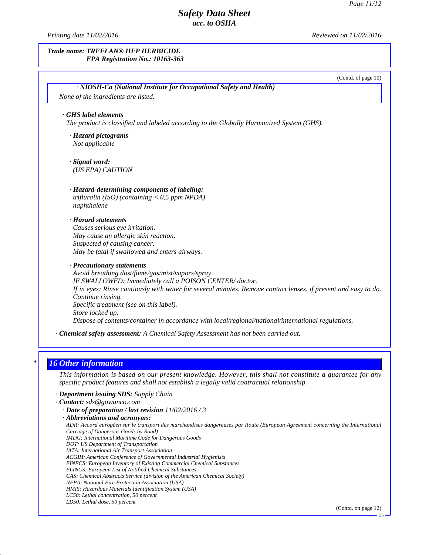$\overline{US}$   $\longrightarrow$ 

## *Safety Data Sheet acc. to OSHA*

*Printing date 11/02/2016 Reviewed on 11/02/2016*

# *Trade name: TREFLAN® HFP HERBICIDE EPA Registration No.: 10163-363* (Contd. of page 10) *· NIOSH-Ca (National Institute for Occupational Safety and Health) None of the ingredients are listed. · GHS label elements The product is classified and labeled according to the Globally Harmonized System (GHS). · Hazard pictograms Not applicable · Hazard-determining components of labeling: trifluralin (ISO) (containing < 0,5 ppm NPDA) naphthalene · Hazard statements Causes serious eye irritation. May cause an allergic skin reaction. Suspected of causing cancer. May be fatal if swallowed and enters airways. · Precautionary statements Avoid breathing dust/fume/gas/mist/vapors/spray IF SWALLOWED: Immediately call a POISON CENTER/ doctor.* If in eyes: Rinse cautiously with water for several minutes. Remove contact lenses, if present and easy to do. *Continue rinsing. Specific treatment (see on this label). Store locked up. Dispose of contents/container in accordance with local/regional/national/international regulations. · Chemical safety assessment: A Chemical Safety Assessment has not been carried out. \* 16 Other information · Signal word: (US EPA) CAUTION*

This information is based on our present knowledge. However, this shall not constitute a guarantee for any *specific product features and shall not establish a legally valid contractual relationship.*

*· Department issuing SDS: Supply Chain*

43.0

```
· Contact: sds@gowanco.com
· Date of preparation / last revision 11/02/2016 / 3
· Abbreviations and acronyms:
 ADR: Accord européen sur le transport des marchandises dangereuses par Route (European Agreement concerning the International
 Carriage of Dangerous Goods by Road)
 IMDG: International Maritime Code for Dangerous Goods DOT: US Department of Transportation
 IATA: International Air Transport Association ACGIH: American Conference of Governmental Industrial Hygienists EINECS: European Inventory of Existing Commercial Chemical Substances ELINCS: European List of Notified Chemical Substances CAS: Chemical Abstracts Service (division of the American Chemical Society)
 NFPA: National Fire Protection Association (USA)
 HMIS: Hazardous Materials Identification System (USA)
 LC50: Lethal concentration, 50 percent LD50: Lethal dose, 50 percent (Contd. on page 12)
```